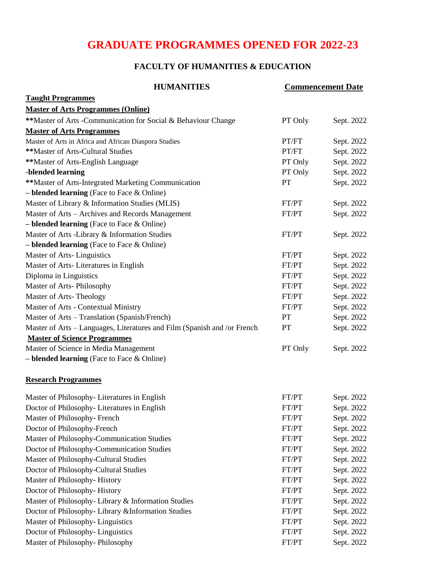# **GRADUATE PROGRAMMES OPENED FOR 2022-23**

# **FACULTY OF HUMANITIES & EDUCATION**

| <b>HUMANITIES</b>                                                        | <b>Commencement Date</b> |            |
|--------------------------------------------------------------------------|--------------------------|------------|
| <b>Taught Programmes</b>                                                 |                          |            |
| <b>Master of Arts Programmes (Online)</b>                                |                          |            |
| ** Master of Arts - Communication for Social & Behaviour Change          | PT Only                  | Sept. 2022 |
| <b>Master of Arts Programmes</b>                                         |                          |            |
| Master of Arts in Africa and African Diaspora Studies                    | PT/FT                    | Sept. 2022 |
| **Master of Arts-Cultural Studies                                        | PT/FT                    | Sept. 2022 |
| **Master of Arts-English Language                                        | PT Only                  | Sept. 2022 |
| -blended learning                                                        | PT Only                  | Sept. 2022 |
| **Master of Arts-Integrated Marketing Communication                      | <b>PT</b>                | Sept. 2022 |
| $-$ blended learning (Face to Face $\&$ Online)                          |                          |            |
| Master of Library & Information Studies (MLIS)                           | FT/PT                    | Sept. 2022 |
| Master of Arts - Archives and Records Management                         | FT/PT                    | Sept. 2022 |
| $-$ blended learning (Face to Face $\&$ Online)                          |                          |            |
| Master of Arts -Library & Information Studies                            | FT/PT                    | Sept. 2022 |
| $-$ blended learning (Face to Face & Online)                             |                          |            |
| Master of Arts-Linguistics                                               | FT/PT                    | Sept. 2022 |
| Master of Arts-Literatures in English                                    | FT/PT                    | Sept. 2022 |
| Diploma in Linguistics                                                   | FT/PT                    | Sept. 2022 |
| Master of Arts-Philosophy                                                | FT/PT                    | Sept. 2022 |
| Master of Arts-Theology                                                  | FT/PT                    | Sept. 2022 |
| Master of Arts - Contextual Ministry                                     | FT/PT                    | Sept. 2022 |
| Master of Arts - Translation (Spanish/French)                            | <b>PT</b>                | Sept. 2022 |
| Master of Arts - Languages, Literatures and Film (Spanish and /or French | PT                       | Sept. 2022 |
| <b>Master of Science Programmes</b>                                      |                          |            |
| Master of Science in Media Management                                    | PT Only                  | Sept. 2022 |
| $-$ blended learning (Face to Face $\&$ Online)                          |                          |            |
| <b>Research Programmes</b>                                               |                          |            |
| Master of Philosophy-Literatures in English                              | FT/PT                    | Sept. 2022 |
| Doctor of Philosophy-Literatures in English                              | FT/PT                    | Sept. 2022 |
| Master of Philosophy-French                                              | FT/PT                    | Sept. 2022 |
| Doctor of Philosophy-French                                              | FT/PT                    | Sept. 2022 |
| Master of Philosophy-Communication Studies                               | FT/PT                    | Sept. 2022 |
| Doctor of Philosophy-Communication Studies                               | FT/PT                    | Sept. 2022 |
| Master of Philosophy-Cultural Studies                                    | FT/PT                    | Sept. 2022 |
| Doctor of Philosophy-Cultural Studies                                    | FT/PT                    | Sept. 2022 |
| Master of Philosophy-History                                             | FT/PT                    | Sept. 2022 |
| Doctor of Philosophy-History                                             | FT/PT                    | Sept. 2022 |
| Master of Philosophy- Library & Information Studies                      | FT/PT                    | Sept. 2022 |
| Doctor of Philosophy- Library & Information Studies                      | FT/PT                    | Sept. 2022 |
| Master of Philosophy-Linguistics                                         | FT/PT                    | Sept. 2022 |
| Doctor of Philosophy-Linguistics                                         | FT/PT                    | Sept. 2022 |
| Master of Philosophy-Philosophy                                          | FT/PT                    | Sept. 2022 |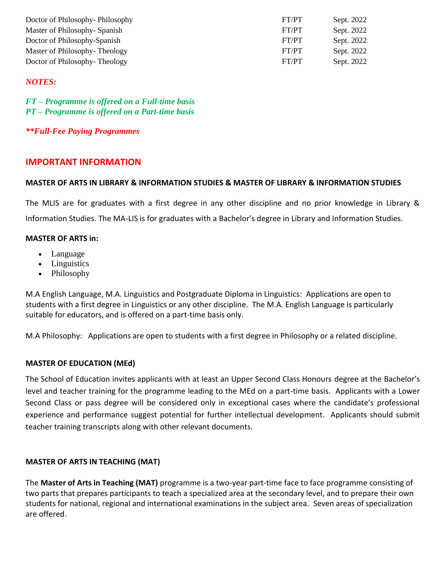| Doctor of Philosophy-Philosophy | FT/PT | Sept. 2022 |
|---------------------------------|-------|------------|
| Master of Philosophy-Spanish    | FT/PT | Sept. 2022 |
| Doctor of Philosophy-Spanish    | FT/PT | Sept. 2022 |
| Master of Philosophy-Theology   | FT/PT | Sept. 2022 |
| Doctor of Philosophy-Theology   | FT/PT | Sept. 2022 |

## *NOTES:*

*FT – Programme is offered on a Full-time basis PT – Programme is offered on a Part-time basis*

*\*\*Full-Fee Paying Programmes*

# **IMPORTANT INFORMATION**

## **MASTER OF ARTS IN LIBRARY & INFORMATION STUDIES & MASTER OF LIBRARY & INFORMATION STUDIES**

The MLIS are for graduates with a first degree in any other discipline and no prior knowledge in Library & Information Studies. The MA-LIS is for graduates with a Bachelor's degree in Library and Information Studies.

## **MASTER OF ARTS in:**

- Language
- Linguistics
- Philosophy

M.A English Language, M.A. Linguistics and Postgraduate Diploma in Linguistics: Applications are open to students with a first degree in Linguistics or any other discipline. The M.A. English Language is particularly suitable for educators, and is offered on a part-time basis only.

M.A Philosophy: Applications are open to students with a first degree in Philosophy or a related discipline.

## **MASTER OF EDUCATION (MEd)**

The School of Education invites applicants with at least an Upper Second Class Honours degree at the Bachelor's level and teacher training for the programme leading to the MEd on a part-time basis. Applicants with a Lower Second Class or pass degree will be considered only in exceptional cases where the candidate's professional experience and performance suggest potential for further intellectual development. Applicants should submit teacher training transcripts along with other relevant documents.

## **MASTER OF ARTS IN TEACHING (MAT)**

The **Master of Arts in Teaching (MAT)** programme is a two-year part-time face to face programme consisting of two parts that prepares participants to teach a specialized area at the secondary level, and to prepare their own students for national, regional and international examinations in the subject area. Seven areas of specialization are offered.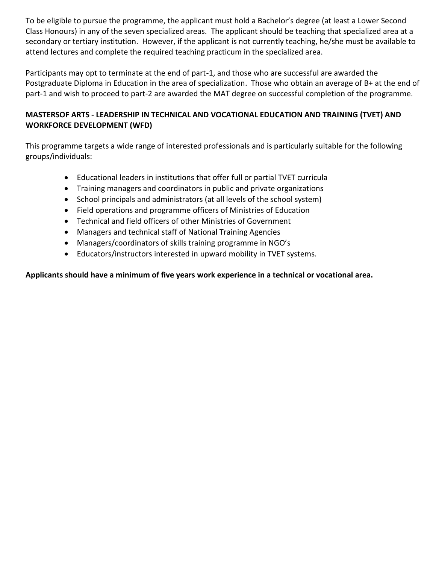To be eligible to pursue the programme, the applicant must hold a Bachelor's degree (at least a Lower Second Class Honours) in any of the seven specialized areas. The applicant should be teaching that specialized area at a secondary or tertiary institution. However, if the applicant is not currently teaching, he/she must be available to attend lectures and complete the required teaching practicum in the specialized area.

Participants may opt to terminate at the end of part-1, and those who are successful are awarded the Postgraduate Diploma in Education in the area of specialization. Those who obtain an average of B+ at the end of part-1 and wish to proceed to part-2 are awarded the MAT degree on successful completion of the programme.

# **MASTERSOF ARTS - LEADERSHIP IN TECHNICAL AND VOCATIONAL EDUCATION AND TRAINING (TVET) AND WORKFORCE DEVELOPMENT (WFD)**

This programme targets a wide range of interested professionals and is particularly suitable for the following groups/individuals:

- Educational leaders in institutions that offer full or partial TVET curricula
- Training managers and coordinators in public and private organizations
- School principals and administrators (at all levels of the school system)
- Field operations and programme officers of Ministries of Education
- Technical and field officers of other Ministries of Government
- Managers and technical staff of National Training Agencies
- Managers/coordinators of skills training programme in NGO's
- Educators/instructors interested in upward mobility in TVET systems.

# **Applicants should have a minimum of five years work experience in a technical or vocational area.**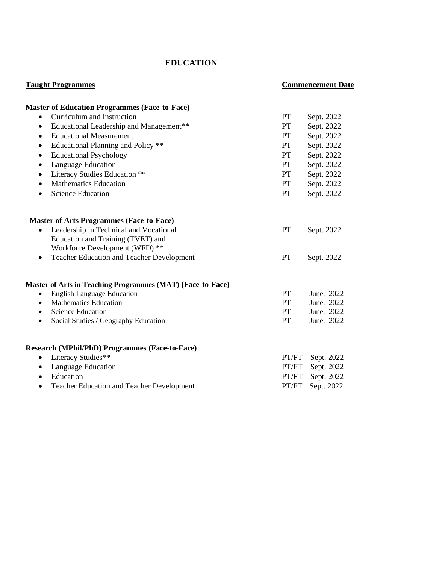# **EDUCATION**

| <b>Taught Programmes</b>                                      |           | <b>Commencement Date</b> |  |
|---------------------------------------------------------------|-----------|--------------------------|--|
| <b>Master of Education Programmes (Face-to-Face)</b>          |           |                          |  |
| Curriculum and Instruction<br>$\bullet$                       | <b>PT</b> | Sept. 2022               |  |
| Educational Leadership and Management**<br>$\bullet$          | <b>PT</b> | Sept. 2022               |  |
| <b>Educational Measurement</b><br>$\bullet$                   | <b>PT</b> | Sept. 2022               |  |
| Educational Planning and Policy **<br>$\bullet$               | <b>PT</b> | Sept. 2022               |  |
| <b>Educational Psychology</b><br>$\bullet$                    | <b>PT</b> | Sept. 2022               |  |
| Language Education<br>$\bullet$                               | <b>PT</b> | Sept. 2022               |  |
| Literacy Studies Education **<br>$\bullet$                    | <b>PT</b> | Sept. 2022               |  |
| <b>Mathematics Education</b><br>$\bullet$                     | <b>PT</b> | Sept. 2022               |  |
| <b>Science Education</b><br>$\bullet$                         | <b>PT</b> | Sept. 2022               |  |
| <b>Master of Arts Programmes (Face-to-Face)</b>               |           |                          |  |
| Leadership in Technical and Vocational<br>$\bullet$           | PT        | Sept. 2022               |  |
| Education and Training (TVET) and                             |           |                          |  |
| Workforce Development (WFD) **                                |           |                          |  |
| Teacher Education and Teacher Development<br>$\bullet$        | <b>PT</b> | Sept. 2022               |  |
| Master of Arts in Teaching Programmes (MAT) (Face-to-Face)    |           |                          |  |
| <b>English Language Education</b><br>$\bullet$                | <b>PT</b> | June, 2022               |  |
| <b>Mathematics Education</b><br>$\bullet$                     | <b>PT</b> | June, 2022               |  |
| <b>Science Education</b><br>$\bullet$                         | <b>PT</b> | June, 2022               |  |
| Social Studies / Geography Education<br>$\bullet$             | <b>PT</b> | June, 2022               |  |
| <b>Research (MPhil/PhD) Programmes (Face-to-Face)</b>         |           |                          |  |
| Literacy Studies**<br>$\bullet$                               | PT/FT     | Sept. 2022               |  |
| Language Education<br>$\bullet$                               | PT/FT     | Sept. 2022               |  |
| Education<br>$\bullet$                                        | PT/FT     | Sept. 2022               |  |
| <b>Teacher Education and Teacher Development</b><br>$\bullet$ | PT/FT     | Sept. 2022               |  |
|                                                               |           |                          |  |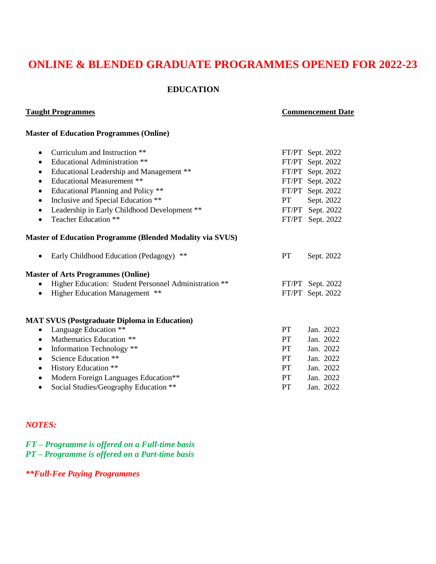# **ONLINE & BLENDED GRADUATE PROGRAMMES OPENED FOR 2022-23**

### **EDUCATION**

#### **Taught Programmes Commencement Date**

## **Master of Education Programmes (Online)**

| Curriculum and Instruction **<br>$\bullet$                       |           | FT/PT Sept. 2022 |
|------------------------------------------------------------------|-----------|------------------|
| <b>Educational Administration</b> **<br>$\bullet$                |           | FT/PT Sept. 2022 |
| Educational Leadership and Management **<br>$\bullet$            |           | FT/PT Sept. 2022 |
| <b>Educational Measurement **</b><br>$\bullet$                   |           | FT/PT Sept. 2022 |
| Educational Planning and Policy **<br>$\bullet$                  |           | FT/PT Sept. 2022 |
| Inclusive and Special Education **<br>$\bullet$                  | PT F      | Sept. 2022       |
| Leadership in Early Childhood Development **<br>$\bullet$        |           | FT/PT Sept. 2022 |
| Teacher Education **<br>$\bullet$                                |           | FT/PT Sept. 2022 |
| <b>Master of Education Programme (Blended Modality via SVUS)</b> |           |                  |
| Early Childhood Education (Pedagogy) **                          | <b>PT</b> | Sept. 2022       |
| <b>Master of Arts Programmes (Online)</b>                        |           |                  |
| Higher Education: Student Personnel Administration **            |           | FT/PT Sept. 2022 |
| Higher Education Management **<br>$\bullet$                      |           | FT/PT Sept. 2022 |
| <b>MAT SVUS (Postgraduate Diploma in Education)</b>              |           |                  |
| • Language Education **                                          | <b>PT</b> | Jan. 2022        |
| Mathematics Education **<br>$\bullet$                            | <b>PT</b> | Jan. 2022        |
| Information Technology **<br>$\bullet$                           | <b>PT</b> | Jan. 2022        |
| Science Education **<br>$\bullet$                                | <b>PT</b> | Jan. 2022        |
| History Education **<br>$\bullet$                                | <b>PT</b> | Jan. 2022        |
| Modern Foreign Languages Education**<br>$\bullet$                | PT        | Jan. 2022        |
| Social Studies/Geography Education **<br>$\bullet$               | <b>PT</b> | Jan. 2022        |
|                                                                  |           |                  |

## *NOTES:*

# *FT – Programme is offered on a Full-time basis PT – Programme is offered on a Part-time basis*

*\*\*Full-Fee Paying Programmes*